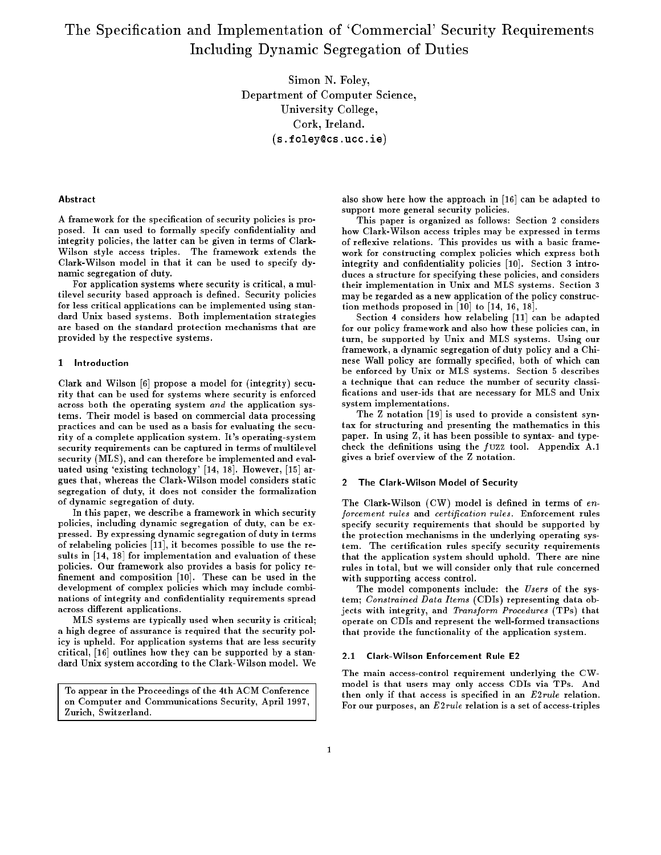# The Specication and Implementation of `Commercial' Security Requirements Including Dynamic Segregation of Duties

 $S = S = S - S - S - S - I$ Department of Computer Science, University College, Cork, Ireland.(s.foley@cs.ucc.ie)

#### Abstract

A framework for the specification of security policies is proposed. It can used to formally specify condentiality and integrity policies, the latter can be given in terms of Clark-Wilson style access triples. The framework extends the Clark-Wilson model in that it can be used to specify dynamic segregation of duty.

For application systems where security is critical, a multilevel security based approach is dened. Security policies for less critical applications can be implemented using standard Unix based systems. Both implementation strategies are based on the standard protection mechanisms that are provided by the respective systems.

# 1 Introduction

Clark and Wilson [6] propose a model for (integrity) security that can be used for systems where security is enforced across both the operating system and the application systems. Their model is based on commercial data processing practices and can be used as a basis for evaluating the security of a complete application system. It's operating-system security requirements can be captured in terms of multilevel security (MLS), and can therefore be implemented and evaluated using 'existing technology' [14, 18]. However, [15] argues that, whereas the Clark-Wilson model considers static segregation of duty, it does not consider the formalization of dynamic segregation of duty.

In this paper, we describe a framework in which security policies, including dynamic segregation of duty, can be expressed. By expressing dynamic segregation of duty in terms of relabeling policies [11], it becomes possible to use the results in [14, 18] for implementation and evaluation of these policies. Our framework also provides a basis for policy re finement and composition [10]. These can be used in the development of complex policies which may include combinations of integrity and condentiality requirements spread across different applications.

MLS systems are typically used when security is critical; a high degree of assurance is required that the security policy is upheld. For application systems that are less security critical, [16] outlines how they can be supported by a standard Unix system according to the Clark-Wilson model. We

To appear in the Proceedings of the 4th ACM Conference on Computer and Communications Security, April 1997, Zurich, Switzerland.

also show here how the approach in [16] can be adapted to support more general security policies.

This paper is organized as follows: Section 2 considers how Clark-Wilson access triples may be expressed in terms of reflexive relations. This provides us with a basic framework for constructing complex policies which express both integrity and confidentiality policies [10]. Section 3 introduces a structure for specifying these policies, and considers their implementation in Unix and MLS systems. Section 3 may be regarded as a new application of the policy construction methods proposed in [10] to [14, 16, 18].

Section 4 considers how relabeling [11] can be adapted for our policy framework and also how these policies can, in turn, be supported by Unix and MLS systems. Using our framework, a dynamic segregation of duty policy and a Chinese Wall policy are formally specied, both of which can be enforced by Unix or MLS systems. Section 5 describes a technique that can reduce the number of security classi cations and user-ids that are necessary for MLS and Unix system implementations.

The Z notation [19] is used to provide a consistent syntax for structuring and presenting the mathematics in this paper. In using Z, it has been possible to syntax- and typecheck the definitions using the  $f$ UZZ tool. Appendix A.1 gives a brief overview of the Z notation.

# 2 The Clark-Wilson Model of Security

The Clark-Wilson  $(CW)$  model is defined in terms of  $en$ forcement rules and certification rules. Enforcement rules specify security requirements that should be supported by the protection mechanisms in the underlying operating system. The certication rules specify security requirements that the application system should uphold. There are nine rules in total, but we will consider only that rule concerned with supporting access control.

The model components include: the Users of the system; Constrained Data Items (CDIs) representing data objects with integrity, and Transform Procedures (TPs) that operate on CDIs and represent the well-formed transactions that provide the functionality of the application system.

#### 2.1 Clark-Wilson Enforcement Rule E2

The main access-control requirement underlying the CWmodel is that users may only access CDIs via TPs. And then only if that access is specified in an  $E2\nrule$  relation. For our purposes, an E2rule relation is a set of access-triples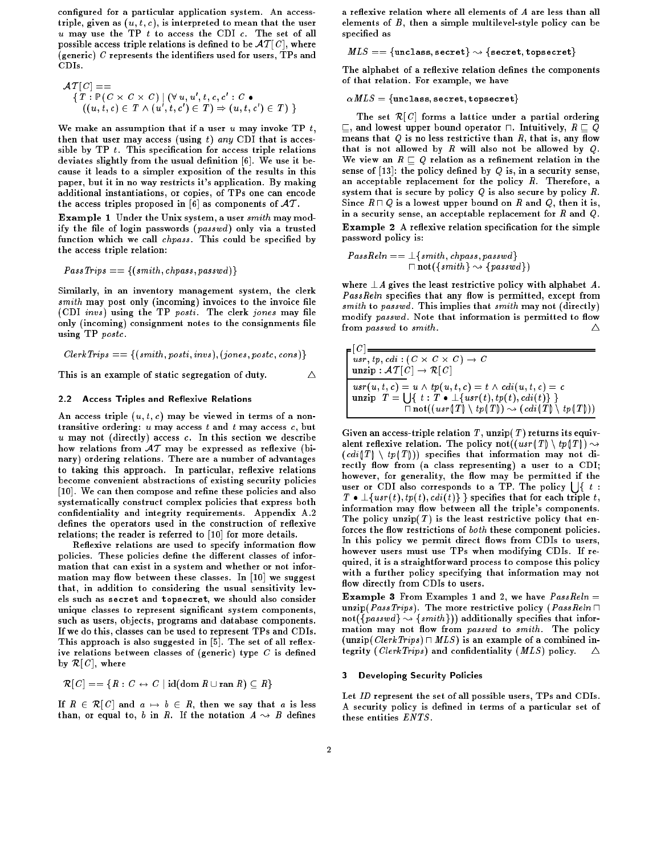configured for a particular application system. An accesstriple, given as  $(u, t, c)$ , is interpreted to mean that the user  $u$  may use the TP  $t$  to access the CDI  $c$ . The set of all possible access triple relations is defined to be  $\mathcal{AT}[C]$ , where (generic)  $\it C$  represents the identifiers used for users, TPs and CDIs.

$$
\mathcal{A}T[C] == \{T : \mathbb{P}(C \times C \times C) \mid (\forall u, u', t, c, c' : C \bullet
$$
  

$$
((u, t, c) \in T \land (u', t, c') \in T) \Rightarrow (u, t, c') \in T) \}
$$

We make an assumption that if a user  $u$  may invoke TP  $t$ , then that user may access (using t) any CDI that is accessible by  $TP$  t. This specification for access triple relations deviates slightly from the usual definition [6]. We use it because it leads to a simpler exposition of the results in this paper, but it in no way restricts it's application. By making additional instantiations, or copies, of TPs one can encode the access triples proposed in [6] as components of  $AT$ .

Example 1 Under the Unix system, a user smith may modify the file of login passwords  $(\text{password})$  only via a trusted function which we call *chpass*. This could be specified by the access triple relation:

$$
PassTrips == \{(smith, chpass, passwd)\}
$$

Similarly, in an inventory management system, the clerk  $s$ mith may post only (incoming) invoices to the invoice file  $(CDI \text{ invs})$  using the TP posti. The clerk jones may file only (incoming) consignment notes to the consignments file using TP postc.

$$
ClerkTrips == \{(smith, posti, invs), (jones, postc, cons)\}
$$

This is an example of static segregation of duty.  $\Delta$ 

# 2.2 Access Triples and Reflexive Relations

An access triple  $(u, t, c)$  may be viewed in terms of a nontransitive ordering:  $u$  may access  $t$  and  $t$  may access  $c$ , but u may not (directly) access c. In this section we describe how relations from  $AT$  may be expressed as reflexive (binary) ordering relations. There are a number of advantages to taking this approach. In particular, reflexive relations become convenient abstractions of existing security policies [10]. We can then compose and refine these policies and also systematically construct complex policies that express both condentiality and integrity requirements. Appendix A.2 defines the operators used in the construction of reflexive relations; the reader is referred to [10] for more details.

Reflexive relations are used to specify information flow policies. These policies define the different classes of information that can exist in a system and whether or not information may flow between these classes. In  $[10]$  we suggest that, in addition to considering the usual sensitivity levels such as secret and topsecret, we should also consider unique classes to represent signicant system components, such as users, objects, programs and database components. If we do this, classes can be used to represent TPs and CDIs. This approach is also suggested in [5]. The set of all reflexive relations between classes of (generic) type  $C$  is defined by  $\mathcal{R}[C]$ , where

$$
\mathcal{R}[C] == \{ R : C \leftrightarrow C \mid \text{id}(\text{dom } R \cup \text{ran } R) \subseteq R \}
$$

If  $R \in \mathcal{R}[C]$  and  $a \mapsto b \in R$ , then we say that a is less than, or equal to, b in R. If the notation  $A \rightsquigarrow B$  defines

a reflexive relation where all elements of  $A$  are less than all elements of  $B$ , then a simple multilevel-style policy can be specified as

 $\mathit{MLS} == \{\texttt{unclass}, \texttt{secret}\} \rightsquigarrow \{\texttt{secret}, \texttt{topsecret}\}$ 

The alphabet of a reflexive relation defines the components of that relation. For example, we have

# $\alpha\mathit{MLS} = \{\texttt{unclass}, \texttt{secret}, \texttt{topsecret}\}$

The set  $\mathcal{R}[C]$  forms a lattice under a partial ordering  $\sqsubseteq$ , and lowest upper bound operator  $\sqcap$ . Intuitively,  $R \sqsubseteq Q$ means that  $Q$  is no less restrictive than  $R$ , that is, any flow that is not allowed by  $R$  will also not be allowed by  $Q$ . We view an  $R \sqsubseteq Q$  relation as a refinement relation in the sense of  $[13]$ : the policy defined by Q is, in a security sense, an acceptable replacement for the policy  $R$ . Therefore, a system that is secure by policy  $Q$  is also secure by policy  $R$ . Since  $R \sqcap Q$  is a lowest upper bound on R and Q, then it is, in a security sense, an acceptable replacement for  $R$  and  $Q$ . Example 2 A reflexive relation specification for the simple password policy is:

$$
PassReln == \bot \{smith, chpass, passwd\} \newline \sqcap not(\{smith\} \leadsto \{passwd\})
$$

where  $\perp A$  gives the least restrictive policy with alphabet A. PassReln specifies that any flow is permitted, except from  $s$  smith to passwd. This implies that smith may not (directly) modify passwd. Note that information is permitted to flow from passwd to smith. <sup>4</sup>  $\wedge$ 

$$
\begin{bmatrix}\n[C] \overline{u} & \overline{u} & \overline{u} & \overline{u} & \overline{u} & \overline{u} \\
\overline{u} & \overline{u} & \overline{u} & \overline{u} & \overline{u} & \overline{u} & \overline{u} \\
\overline{u} & \overline{u} & \overline{u} & \overline{u} & \overline{u} & \overline{u} & \overline{u} \\
\overline{u} & \overline{u} & \overline{u} & \overline{u} & \overline{u} & \overline{u} & \overline{u} \\
\overline{u} & \overline{u} & \overline{u} & \overline{u} & \overline{u} & \overline{u} & \overline{u} \\
\overline{u} & \overline{u} & \overline{u} & \overline{u} & \overline{u} & \overline{u} & \overline{u} \\
\overline{u} & \overline{u} & \overline{u} & \overline{u} & \overline{u} & \overline{u} & \overline{u} \\
\overline{u} & \overline{u} & \overline{u} & \overline{u} & \overline{u} & \overline{u} \\
\overline{u} & \overline{u} & \overline{u} & \overline{u} & \overline{u} \\
\overline{u} & \overline{u} & \overline{u} & \overline{u} & \overline{u} \\
\overline{u} & \overline{u} & \overline{u} & \overline{u} & \overline{u} \\
\overline{u} & \overline{u} & \overline{u} & \overline{u} & \overline{u} \\
\overline{u} & \overline{u} & \overline{u} & \overline{u} & \overline{u} \\
\overline{u} & \overline{u} & \overline{u} & \overline{u} & \overline{u} \\
\overline{u} & \overline{u} & \overline{u} & \overline{u} & \overline{u} \\
\overline{u} & \overline{u} & \overline{u} & \overline{u} & \overline{u} \\
\overline{u} & \overline{u} & \overline{u} & \overline{u} & \overline{u} \\
\overline{u} & \overline{u} & \overline{u} & \overline{u} \\
\overline{u} & \overline{u} & \overline{u} & \overline{u} \\
\over
$$

Given an access-triple relation  $T$ , unzip( $T$ ) returns its equivalent reflexive relation. The policy not( $(usr(T) \setminus tp(T)) \rightsquigarrow$  $(cdi(T) \setminus tp(T)))$  specifies that information may not directly flow from (a class representing) a user to a CDI; however, for generality, the flow may be permitted if the user or CDI also corresponds to a TP. The policy  $\left| \ \right|$  { t :  $T \bullet \perp \{usr(t), tp(t), cdi(t) \}$  specifies that for each triple t, information may flow between all the triple's components. The policy unzip(T) is the least restrictive policy that enforces the flow restrictions of both these component policies. In this policy we permit direct flows from CDIs to users, however users must use TPs when modifying CDIs. If required, it is a straightforward process to compose this policy with a further policy specifying that information may not flow directly from CDIs to users.

**Example 3** From Examples 1 and 2, we have  $PassReln =$ unzip( $PassTrips$ ). The more restrictive policy ( $PassReln \sqcap$ not({ $passwd$ }  $\rightsquigarrow$  { $smith$ })) additionally specifies that information may not flow from passwd to smith. The policy (unzip(ClerkTrips)  $\sqcap MLS$ ) is an example of a combined integrity (ClerkTrips) and confidentiality ( $MLS$ ) policy.  $\wedge$ 

# 3 Developing Security Policies

Let ID represent the set of all possible users, TPs and CDIs. A security policy is defined in terms of a particular set of these entities ENTS.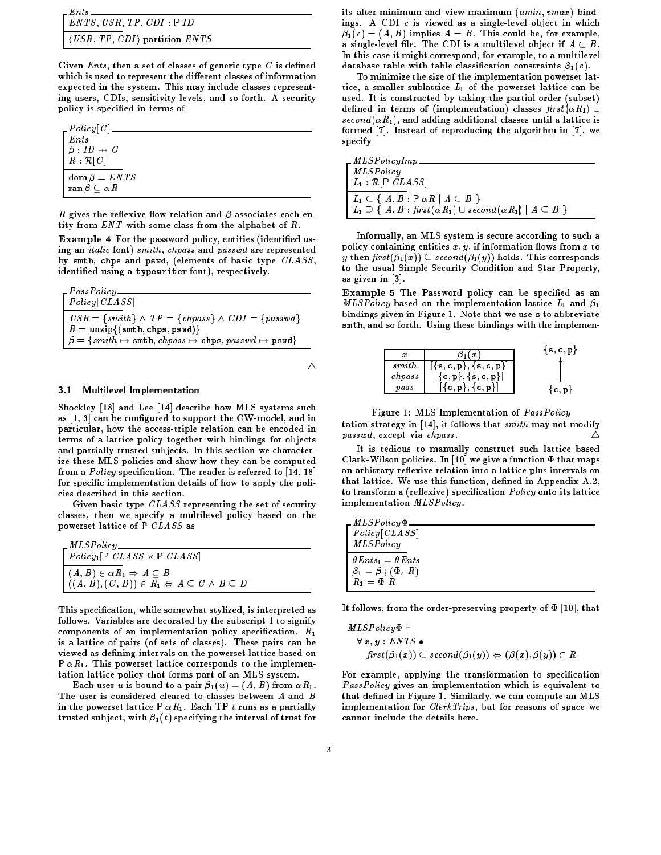| $E$ nts $\frac{1}{2}$                                                                       |  |
|---------------------------------------------------------------------------------------------|--|
| $\vert$ ENTS, USR, TP, CDI : PID                                                            |  |
| $\vert$ $\langle \textit{USA}, \textit{TP}, \textit{CDI} \rangle$ partition $\textit{ENTS}$ |  |

Given  ${\it Ents}$  , then a set of classes of generic type  ${\it C}$  is defined which is used to represent the different classes of information expected in the system. This may include classes representing users, CDIs, sensitivity levels, and so forth. A security policy is specied in terms of

| $-Policy[C]$                      |  |
|-----------------------------------|--|
| Ents                              |  |
| $\beta: ID \rightarrow C$         |  |
| $R: \mathcal{R}[C]$               |  |
| $\text{dom}\,\beta = \text{ENTS}$ |  |
| ran $\beta \subset \alpha R$      |  |

 $R$  gives the reflexive flow relation and  $\beta$  associates each entity from ENT with some class from the alphabet of R.

**Example 4** For the password policy, entities (identified using an italic font) smith, chpass and passwd are represented by smth, chps and pswd, (elements of basic type  $CLASS$ , identied using a typewriter font), respectively.

| $\_PassPolicy$                                                                                                             |
|----------------------------------------------------------------------------------------------------------------------------|
| $\mid$ Policy [CLASS]                                                                                                      |
| $\mid \text{USR} = \{\text{smith}\}\wedge \text{TP} = \{\text{chpass}\}\wedge \text{CDI} = \{\text{passwd}\}\$             |
| $R = \text{unzip}\{(\texttt{smth}, \texttt{chps}, \texttt{pswd})\}$                                                        |
| $\mid\beta=\{\textit{smith}\mapsto\texttt{smth},\textit{chpass}\mapsto\texttt{chps},\textit{passwd}\mapsto\texttt{pswd}\}$ |

 $\triangle$ 

# 3.1 Multilevel Implementation

Shockley [18] and Lee [14] describe how MLS systems such as  $[1, 3]$  can be configured to support the CW-model, and in particular, how the access-triple relation can be encoded in terms of a lattice policy together with bindings for objects and partially trusted subjects. In this section we characterize these MLS policies and show how they can be computed from a  $Policy$  specification. The reader is referred to  $[14, 18]$ for specific implementation details of how to apply the policies described in this section.

Given basic type  $CLASS$  representing the set of security classes, then we specify a multilevel policy based on the powerset lattice of  $P$  CLASS as

| $\label{thm:2} \left\lceil \frac{MLSPolicy}{Policy_1[\mathbb{P} ~CLASS \times \mathbb{P} ~CLASS]} \right\rceil$                                            |
|------------------------------------------------------------------------------------------------------------------------------------------------------------|
| $\begin{cases} (A, B) \in \alpha R_1 \Rightarrow A \subseteq B \\ ((A, B), (C, D)) \in R_1 \Leftrightarrow A \subseteq C \wedge B \subseteq D \end{cases}$ |

This specication, while somewhat stylized, is interpreted as follows. Variables are decorated by the subscript 1 to signify components of an implementation policy specification.  $R_1$ is a lattice of pairs (of sets of classes). These pairs can be viewed as defining intervals on the powerset lattice based on  $P \alpha R_1$ . This powerset lattice corresponds to the implementation lattice policy that forms part of an MLS system.

Each user u is bound to a pair  $\beta_1(u) = (A, B)$  from  $\alpha R_1$ . The user is considered cleared to classes between A and B in the powerset lattice  $P \alpha R_1$ . Each TP t runs as a partially trusted subject, with  $\beta_1(t)$  specifying the interval of trust for its alter-minimum and view-maximum (amin, vmax) bindings. A CDI c is viewed as a single-level object in which  $\beta_1(c) = (A, B)$  implies  $A = B$ . This could be, for example, a single-level file. The CDI is a multilevel object if  $A \subset B$ . In this case it might correspond, for example, to a multilevel database table with table classification constraints  $\beta_1(c)$ .

To minimize the size of the implementation powerset lattice, a smaller sublattice  $L_1$  of the powerset lattice can be used. It is constructed by taking the partial order (subset) defined in terms of (implementation) classes  $first(\alpha R_1) \cup$ second  $(\alpha R_1)$ , and adding additional classes until a lattice is formed [7]. Instead of reproducing the algorithm in [7], we specify

| $\_MLSPolicyImp$                                                                                                                                                                    |
|-------------------------------------------------------------------------------------------------------------------------------------------------------------------------------------|
| MLSPolicy                                                                                                                                                                           |
| $L_1 : \mathcal{R}[\mathbb{P} CLASS]$                                                                                                                                               |
| $L_1 \subseteq \{ A, B : \mathbb{P} \alpha R \mid A \subseteq B \}$<br>$\mid L_1 \supseteq \{ A, B : \text{first}(\alpha R_1) \cup \text{second}(\alpha R_1) \mid A \subseteq B \}$ |

Informally, an MLS system is secure according to such a policy containing entities  $x, y$ , if information flows from  $x$  to y then  $first(\beta_1(x)) \subseteq second(\beta_1(y))$  holds. This corresponds to the usual Simple Security Condition and Star Property, as given in [3].

Example 5 The Password policy can be specified as an *MLSPolicy* based on the implementation lattice  $L_1$  and  $\beta_1$ bindings given in Figure 1. Note that we use <sup>s</sup> to abbreviate smth, and so forth. Using these bindings with the implemen-

| х               | $\boldsymbol{x}$                                                                                     | $\{s, c, p\}$ |
|-----------------|------------------------------------------------------------------------------------------------------|---------------|
| $s$ <i>mith</i> | $\lfloor \{ \texttt{s}, \texttt{c}, \texttt{p} \}, \{ \texttt{s}, \texttt{c}, \texttt{p} \} \rfloor$ |               |
| chpass          | $\bigl[\mathtt{c},\mathtt{p}\bigr],\mathtt{\{}s},\mathtt{c},\mathtt{p}\bigr\}\bigr]$                 |               |
| $_{pass}$       | $\{c, p\}, \{c, p\}$                                                                                 |               |

Figure 1: MLS Implementation of PassPolicy

tation strategy in  $[14]$ , it follows that smith may not modify  $passwd$ , except via *chpass*.

It is tedious to manually construct such lattice based Clark-Wilson policies. In [10] we give a function  $\Phi$  that maps an arbitrary reflexive relation into a lattice plus intervals on that lattice. We use this function, defined in Appendix A.2, to transform a (reflexive) specification *Policy* onto its lattice implementation MLSPolicy.

| $\_MLSPolicy\Phi$                          |  |
|--------------------------------------------|--|
| Policy [CLASS]                             |  |
| MLSPolicy                                  |  |
| $\theta$ Ents <sub>1</sub> = $\theta$ Ents |  |
| $\beta_1 = \beta$ ; $(\Phi, R)$            |  |
| $R_1 = \Phi R$                             |  |

It follows, from the order-preserving property of  $\Phi$  [10], that

$$
MLSPolicy \Phi \vdash
$$
  
\n
$$
\forall x, y : ENTS \bullet
$$
  
\n
$$
first(\beta_1(x)) \subseteq second(\beta_1(y)) \Leftrightarrow (\beta(x), \beta(y)) \in R
$$

For example, applying the transformation to specification PassPolicy gives an implementation which is equivalent to that defined in Figure 1. Similarly, we can compute an MLS implementation for *ClerkTrips*, but for reasons of space we cannot include the details here.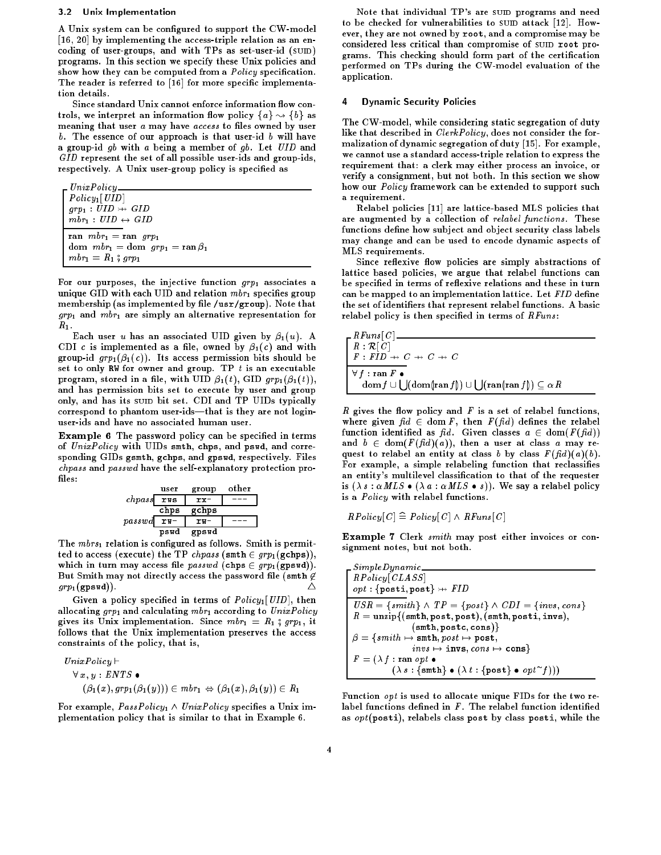# 3.2 Unix Implementation

A Unix system can be configured to support the CW-model [16, 20] by implementing the access-triple relation as an encoding of user-groups, and with TPs as set-user-id  $(s$ UID) programs. In this section we specify these Unix policies and show how they can be computed from a *Policy* specification. The reader is referred to [16] for more specific implementation details.

Since standard Unix cannot enforce information flow controls, we interpret an information flow policy  $\{a\} \rightsquigarrow \{b\}$  as meaning that user a may have access to files owned by user  $b$ . The essence of our approach is that user-id  $b$  will have a group-id  $gb$  with a being a member of  $gb$ . Let  $UID$  and GID represent the set of all possible user-ids and group-ids, respectively. A Unix user-group policy is specified as

UnixPolicy  $Policy<sub>1</sub>[*UID*]$  $grp_1 : \textit{UID} \rightarrowtail \textit{GID}$  $mbr_1 : \text{UID} \leftrightarrow \text{GID}$ ran  $mbr_1 = \text{ran } grp_1$  ${\rm dom}\ \ mbr_1={\rm dom}\ \ grp_1={\rm ran}\ \beta_1$  $mbr_1 = R_1$ ;  $grp_1$ 

For our purposes, the injective function  $qrp_1$  associates a unique GID with each UID and relation  $mbr_1$  specifies group membership (as implemented by file /usr/group). Note that  $g r p_1$  and  $m b r_1$  are simply an alternative representation for  $R_1$ .

Each user u has an associated UID given by  $\beta_1(u)$ . A CDI c is implemented as a file, owned by  $\beta_1(c)$  and with group-id  $g r p_1(\beta_1(c))$ . Its access permission bits should be set to only RW for owner and group. TP  $t$  is an executable program, stored in a file, with UID  $\beta_1(t)$ , GID  $grp_1(\beta_1(t))$ , and has permission bits set to execute by user and group only, and has its suip bit set. CDI and TP UIDs typically correspond to phantom user-ids—that is they are not loginuser-ids and have no associated human user.

**Example 6** The password policy can be specified in terms of  $UnixPolicy$  with UIDs smth, chps, and pswd, and corresponding GIDs gsmth, gchps, and gpswd, respectively. Files chpass and passwd have the self-explanatory protection pro files:

user group other chpass rws rx- -- chps gchps passwd rw- rw- -- pswdgpswd

The  $mbrs_1$  relation is configured as follows. Smith is permitted to access (execute) the TP chpass (smth  $\in grp_1(\text{gchps})$ ), which in turn may access file passwd (chps  $\in grp_1(gpswd)$ ). But Smith may not directly access the password file (smth  $\not\in$  $grp_1(\texttt{qpswd})$ .

Given a policy specified in terms of  $Policy_1[UID]$ , then allocating  $grp_1$  and calculating  $mbr_1$  according to  $UnixPolicy$ gives its Unix implementation. Since  $mbr_1 = R_1$ ; grp1, it follows that the Unix implementation preserves the access constraints of the policy, that is,

$$
UnixPolicy \vdash
$$
  
\n
$$
\forall x, y : ENTS \bullet
$$
  
\n
$$
(\beta_1(x), grp_1(\beta_1(y))) \in mbr_1 \Leftrightarrow (\beta_1(x), \beta_1(y)) \in R_1
$$

For example,  $PassPolicy_1 \wedge UnixPolicy_$  specifies a Unix implementation policy that is similar to that in Example 6.

Note that individual TP's are SUID programs and need to be checked for vulnerabilities to sum attack  $[12]$ . However, they are not owned by root, and a compromise may be considered less critical than compromise of SUID root programs. This checking should form part of the certication performed on TPs during the CW-model evaluation of the application.

#### **Dynamic Security Policies** 4

The CW-model, while considering static segregation of duty like that described in *ClerkPolicy*, does not consider the formalization of dynamic segregation of duty [15]. For example, we cannot use a standard access-triple relation to express the requirement that: a clerk may either process an invoice, or verify a consignment, but not both. In this section we show how our *Policy* framework can be extended to support such a requirement. a requirement.

Relabel policies [11] are lattice-based MLS policies that are augmented by a collection of relabel functions. These functions define how subject and object security class labels may change and can be used to encode dynamic aspects of MLS requirements.

Since reflexive flow policies are simply abstractions of lattice based policies, we argue that relabel functions can be specified in terms of reflexive relations and these in turn can be mapped to an implementation lattice. Let FID define the set of identiers that represent relabel functions. A basic relabel policy is then specified in terms of  $RFuns$ :

| $RFuns[C]$ .                                                                                                                |
|-----------------------------------------------------------------------------------------------------------------------------|
| $R: \mathcal{R}[C]$                                                                                                         |
| $F: FID \rightarrow C \rightarrow C \rightarrow C$                                                                          |
|                                                                                                                             |
| $\forall f : \text{ran } F \bullet$                                                                                         |
| $\mathrm{dom} f \cup \bigcup (\mathrm{dom}(\mathrm{ran} f)) \cup \bigcup (\mathrm{ran}(\mathrm{ran} f)) \subseteq \alpha R$ |
|                                                                                                                             |

 $R$  gives the flow policy and  $F$  is a set of relabel functions, where given  $fd \in \text{dom } F$ , then  $F(fd)$  defines the relabel function identified as  $f_i d$ . Given classes  $a \in \text{dom}(F(f_i d))$ and  $b \in \text{dom}(F(\text{fid})(a))$ , then a user at class a may request to relabel an entity at class b by class  $F(\bar{f}d)(a)(b)$ . For example, a simple relabeling function that reclassifies an entity's multilevel classication to that of the requester is  $(\lambda s : \alpha MLS \bullet (\lambda a : \alpha MLS \bullet s))$ . We say a relabel policy is a Policy with relabel functions.

$$
RPolicy[C] \cong Policy[C] \wedge RFuns[C]
$$

Example 7 Clerk smith may post either invoices or consignment notes, but not both.

Function opt is used to allocate unique FIDs for the two relabel functions defined in  $F$ . The relabel function identified as  $opt(posti)$ , relabels class post by class posti, while the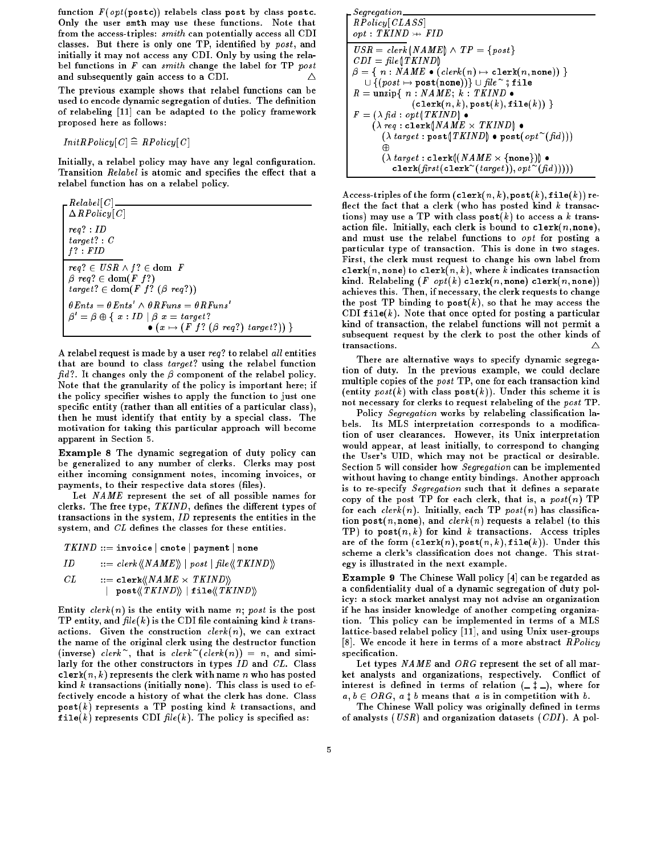function  $F(\text{opt}(\text{post}))$  relabels class post by class postc. Only the user smth may use these functions. Note that from the access-triples: smith can potentially access all CDI classes. But there is only one TP, identified by post, and initially it may not access any CDI. Only by using the relabel functions in  $F$  can smith change the label for TP post and subsequently gain access to a CDI. <sup>4</sup> Δ

The previous example shows that relabel functions can be used to encode dynamic segregation of duties. The definition of relabeling [11] can be adapted to the policy framework proposed here as follows:

$$
InitRPolicy[C] \cong RPolicy[C]
$$

Initially, a relabel policy may have any legal configuration. Transition *Relabel* is atomic and specifies the effect that a relabel function has on a relabel policy.

 $Relabel [C]$  $\Delta RP$ olicy $\lceil C \rceil$ req? : ID  $target$  ? :  $C$  $f$  ? :  $FID$  $req? \in \text{USR} \wedge f? \in \text{dom } F$  $\beta$  req?  $\in$  dom(*F f*?)  $target? \in \text{dom}(F f? (\beta \text{ reg}?))$  $\theta$ Ents =  $\theta$ Ents  $\land$   $\theta$ Kruns =  $\theta$ Kruns  $D = D \oplus \{ x : ID \mid D \ x = target \}$  $\bullet$  ( $x \mapsto (F \; f? \; (\beta \; req?) \; target?)$ )

A relabel request is made by a user req? to relabel all entities that are bound to class  $target$ ? using the relabel function  $fid$ ?. It changes only the  $\beta$  component of the relabel policy. Note that the granularity of the policy is important here; if the policy specifier wishes to apply the function to just one specific entity (rather than all entities of a particular class), then he must identify that entity by a special class. The motivation for taking this particular approach will become apparent in Section 5.

Example 8 The dynamic segregation of duty policy can be generalized to any number of clerks. Clerks may post either incoming consignment notes, incoming invoices, or payments, to their respective data stores (files).

Let NAME represent the set of all possible names for clerks. The free type,  $TKIND$ , defines the different types of transactions in the system, ID represents the entities in the system, and  $CL$  defines the classes for these entities.

 $TKIND ::=$ invoice cnote payment none

 $ID$  ::= clerk  $\langle\!\langle NAME \rangle\!\rangle$  | post | file $\langle\!\langle TKIND \rangle\!\rangle$ 

 $\ldots$  :: conservations in the case of  $\mu$ | post $\langle\langle TKIND\rangle\rangle$  | file $\langle\langle TKIND\rangle\rangle$ 

Entity  $clerk(n)$  is the entity with name n; post is the post TP entity, and  $file(k)$  is the CDI file containing kind k transactions. Given the construction  $\text{clerk}(n)$ , we can extract the name of the original clerk using the destructor function (inverse) clerk, that is clerk (clerk(n))  $=n$ , and similarly for the other constructors in types  $ID$  and  $CL$ . Class clerk $(n, k)$  represents the clerk with name n who has posted kind  $k$  transactions (initially none). This class is used to effectively encode a history of what the clerk has done. Class post(k) represents a TP posting kind k transactions, and file(k) represents CDI  $file(k)$ . The policy is specified as:

Segregation  $R \textit{Policy} [\textit{CLASS}]$  $opt: TKIND \rightarrow \textit{FID}$  $\mathit{USR} = \mathit{clerk} \left( \mathit{NAME} \right) \wedge \mathit{TP} = \{\mathit{post}\}$  $CDI = file(TKIND)$  $\beta = \{ \; n : \textit{NAME} \bullet (\textit{clerk}(n) \mapsto \texttt{clerk}(\textit{n}, \texttt{none})) \; \}$  $\cup$  {(  $post \mapsto \texttt{post}(\texttt{none}))$  }  $\cup$   $\hbar le \quad$  ; <code>file</code>  $R = \text{unzip} \{ n : \textit{NAME}; k : \textit{TKIND} \}$  $(\texttt{clerk}(n, k), \texttt{post}(k), \texttt{file}(k))$  }  $F = (\lambda f \cdot d : opt(TKIND) \bullet$ ( req : clerkNAME - TKIND ( $\lambda$  *target* :  $\texttt{post}(\textcolor{red}{| T\texttt{MIN} D|}$   $\bullet$   $\texttt{post}(\textcolor{red}{opt} \ (\textcolor{red}{|} \textcolor{red}{mid} \textcolor{red}{|}) )$  )  $\sim$ ( target : clerk(NAME - fnoneg)  $\texttt{clerr}(\textit{first}(\texttt{clerk} \mid \textit{target})), \textit{opt} \mid (\textit{fall}))$ 

Access-triples of the form  $(\texttt{clerk}(n, k), \texttt{post}(k), \texttt{file}(k))$  reflect the fact that a clerk (who has posted kind  $k$  transactions) may use a TP with class  $post(k)$  to access a k transaction file. Initially, each clerk is bound to clerk $(n, \texttt{none}),$ and must use the relabel functions to opt for posting a particular type of transaction. This is done in two stages. First, the clerk must request to change his own label from clerk(n, none) to clerk(n, k), where k indicates transaction kind. Relabeling (*F opt*(*k*) clerk(*n*, none) clerk(*n*, none)) achieves this. Then, if necessary, the clerk requests to change the post TP binding to  $post(k)$ , so that he may access the CDI file $(k)$ . Note that once opted for posting a particular kind of transaction, the relabel functions will not permit a subsequent request by the clerk to post the other kinds of transactions.  $\wedge$ 

There are alternative ways to specify dynamic segregation of duty. In the previous example, we could declare multiple copies of the post TP, one for each transaction kind (entity  $post(k)$  with class  $post(k)$ ). Under this scheme it is not necessary for clerks to request relabeling of the post TP.

Policy Segregation works by relabeling classification labels. Its MLS interpretation corresponds to a modification of user clearances. However, its Unix interpretation would appear, at least initially, to correspond to changing the User's UID, which may not be practical or desirable. Section 5 will consider how Segregation can be implemented without having to change entity bindings. Another approach is to re-specify Segregation such that it defines a separate copy of the post TP for each clerk, that is, a  $post(n)$  TP for each  $clerk(n)$ . Initially, each TP  $post(n)$  has classification post(n, none), and clerk(n) requests a relabel (to this TP) to  $post(n, k)$  for kind k transactions. Access triples are of the form  $(\texttt{clerk}(n), \texttt{post}(n, k), \texttt{file}(k)).$  Under this scheme a clerk's classication does not change. This strategy is illustrated in the next example.

Example 9 The Chinese Wall policy [4] can be regarded as a condentiality dual of a dynamic segregation of duty policy: a stock market analyst may not advise an organization if he has insider knowledge of another competing organization. This policy can be implemented in terms of a MLS lattice-based relabel policy [11], and using Unix user-groups [8]. We encode it here in terms of a more abstract  $\mathit{RP}$ olicy specification. specication.

Let types  $NAME$  and  $ORG$  represent the set of all market analysts and organizations, respectively. Con
ict of interest is defined in terms of relation  $(-\ddagger$ .), where for  $a, b \in ORG$ ,  $a \ddagger b$  means that a is in competition with b.

The Chinese Wall policy was originally defined in terms of analysts ( $USR$ ) and organization datasets ( $CDI$ ). A pol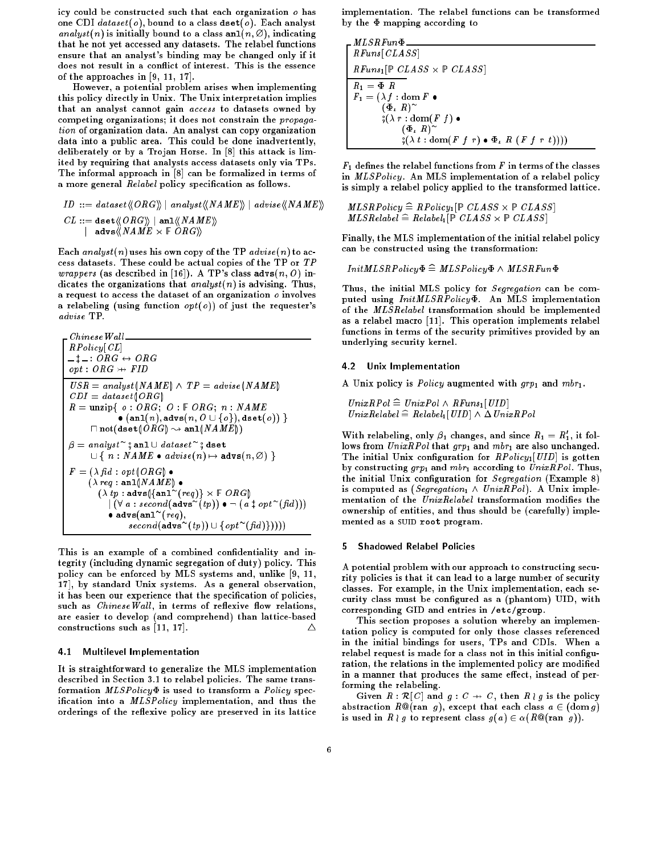icy could be constructed such that each organization o has one CDI  $dataset(o)$ , bound to a class dset(o). Each analyst analyst(n) is initially bound to a class and  $(n, \emptyset)$ , indicating that he not yet accessed any datasets. The relabel functions ensure that an analyst's binding may be changed only if it does not result in a conflict of interest. This is the essence of the approaches in [9, 11, 17].

However, a potential problem arises when implementing this policy directly in Unix. The Unix interpretation implies that an analyst cannot gain access to datasets owned by competing organizations; it does not constrain the propagation of organization data. An analyst can copy organization data into a public area. This could be done inadvertently, deliberately or by a Trojan Horse. In [8] this attack is limited by requiring that analysts access datasets only via TPs. The informal approach in [8] can be formalized in terms of a more general Relabel policy specification as follows.

$$
\begin{array}{l} \textit{ID} \ ::= \ \textit{dataset} \langle \textit{ORG} \rangle \textit{ } | \ \textit{analyst} \langle \textit{NAME} \rangle \textit{ } | \ \textit{advise} \langle \textit{NAME} \rangle \textit{ } \\ \textit{CL} \ ::= \ \texttt{dest} \langle \textit{ORG} \rangle \textit{ } | \ \texttt{anl} \langle \textit{NAME} \rangle \textit{ } \\qquad \qquad | \ \texttt{advs} \langle \textit{NAME} \times \mathbb{F} \textit{ ORG} \rangle \rangle \end{array}
$$

Each analyst(n) uses his own copy of the TP advise(n) to access datasets. These could be actual copies of the TP or TP *wrappers* (as described in [16]). A TP's class  $advs(n, 0)$  indicates the organizations that  $analyst(n)$  is advising. Thus, a request to access the dataset of an organization  $o$  involves a relabeling (using function  $opt(o)$ ) of just the requester's advise TP.

| Chinese Wall                                                                                                                                                                                                                                                                       |
|------------------------------------------------------------------------------------------------------------------------------------------------------------------------------------------------------------------------------------------------------------------------------------|
| $RPolicy[CL]$                                                                                                                                                                                                                                                                      |
| $\_\_$ + ... ∘ $ORG \leftrightarrow ORG$                                                                                                                                                                                                                                           |
| $opt : ORG \leftrightarrow FIR$                                                                                                                                                                                                                                                    |
| $USR = analyst(NAME) \land TP = advise(NAME)$                                                                                                                                                                                                                                      |
| $CDI = dataset(ORG)$                                                                                                                                                                                                                                                               |
| $R = \text{unzip}\{ o : ORG; O : F \ ORG; n : NAME \bullet (\text{an}(n), adds(n, O \cup \{ o \}), \text{dest}(o)) \}$                                                                                                                                                             |
| $\sqcap \text{not}(\text{dest}(ORG) \leadsto \text{an1}(NAMB))$                                                                                                                                                                                                                    |
| $\beta = analyst^{\circ} \text{ and } \text{and} \text{state}^{\circ} \text{, dest} \text{ and } \text{not} \text{(ASE}(n, O) \text{)}$                                                                                                                                            |
| $\beta = \text{analyst}^{\circ} \text{ and } \text{and } \text{ataste}^{\circ} \text{, dest}$                                                                                                                                                                                      |
| $\sqcup \{ n : NAME \bullet advise(n) \mapsto \text{advs}(n, O) \}$                                                                                                                                                                                                                |
| $F = (\lambda \text{ fid} : opt(ORG) \bullet (\lambda \text{ reg} : \text{an1}(NAMB) \bullet (\lambda \text{ reg} : \text{and} \text{and} \text{and} \text{reg}) \times F \ ORG) \mid (\forall a : second(\text{advs}^{\circ}(tp)) \bullet \neg (a \text{ if } opt^{\circ}(fid)))$ |
| $\bullet \text{advs}(\text{an1}^{\circ}(\text{reg}), \text{second}(\text{advs}^{\circ}(tp)) \cup \{opt^{\circ}(fid)))$                                                                                                                                                             |

This is an example of a combined confidentiality and integrity (including dynamic segregation of duty) policy. This policy can be enforced by MLS systems and, unlike [9, 11, 17], by standard Unix systems. As a general observation, it has been our experience that the specification of policies, such as  $ChineseWall$ , in terms of reflexive flow relations, are easier to develop (and comprehend) than lattice-based constructions such as  $[11, 17]$ . Δ

### 4.1 Multilevel Implementation

It is straightforward to generalize the MLS implementation described in Section 3.1 to relabel policies. The same transformation  $MLSPolicy\Phi$  is used to transform a  $Policy$  specification into a *MLSPolicy* implementation, and thus the orderings of the reflexive policy are preserved in its lattice

implementation. The relabel functions can be transformed by the  $\Phi$  mapping according to

$$
\begin{aligned}\n&\begin{bmatrix}\nMLSRFun\Phi \\
RFuns[CLASS] \\
RRFuns_1[\mathbb{P} CLASS \times \mathbb{P} CLASS] \\
R_1 &= \Phi \ R \\
F_1 &= (\lambda f : \text{dom } F \bullet \\
&\begin{bmatrix} (\Phi_L \ R)^\sim \\
\end{bmatrix} \\
&\begin{bmatrix} \xi(\lambda \ r : \text{dom}(F \ f) \bullet \\
\end{bmatrix} \\
&\begin{bmatrix} \xi(\lambda \ t : \text{dom}(F \ f \ r) \bullet \Phi_L \ R \ (F \ f \ r \ t)) \end{bmatrix}\n\end{aligned}
$$

 $F_1$  defines the relabel functions from  $F$  in terms of the classes in MLSPolicy. An MLS implementation of a relabel policy is simply a relabel policy applied to the transformed lattice.

 $\mathcal{L}$  and  $\mathcal{L}$  and  $\mathcal{L}$  and  $\mathcal{L}$  and  $\mathcal{L}$  . The contract of  $\mathcal{L}$  $\mathbf{r}$  abelieve  $\mathbf{r}$  . Therefore  $\mathbf{r}$  is a constant  $\mathbf{r}$  is a constant  $\mathbf{r}$ 

Finally, the MLS implementation of the initial relabel policy can be constructed using the transformation:

 $InitMLSRPolicy \Phi \cong MLSPolicy \Phi \wedge MLSRFun \Phi$ 

Thus, the initial MLS policy for Segregation can be computed using  $InitMLSRPolicy \Phi$ . An MLS implementation of the MLSRelabel transformation should be implemented as a relabel macro [11]. This operation implements relabel functions in terms of the security primitives provided by an underlying security kernel.

#### 4.2 Unix Implementation

A Unix policy is *Policy* augmented with  $grp_1$  and  $mbr_1$ .

 $UnixRPol \cong UnixPol \wedge RFuns_1[UID]$  $UnixRelabel \widehat{=}$  Relabel<sub>1</sub> [UID]  $\land \Delta UnixRP$ ol

With relabeling, only  $\beta_1$  changes, and since  $R_1 = R_1$ , it follows from  $UnixRPol$  that  $grp_1$  and  $mbr_1$  are also unchanged. The initial Unix configuration for  $\it{RPolicy_1[UID]}$  is gotten by constructing  $grp_1$  and  $mbr_1$  according to  $UnixRPol$ . Thus, the initial Unix configuration for  $Seg$ regation (Example 8) is computed as (Segregation<sub>1</sub>  $\wedge$  UnixRPol). A Unix implementation of the  $UnixRelabel$  transformation modifies the ownership of entities, and thus should be (carefully) implemented as a SUID root program.

## 5 Shadowed Relabel Policies

A potential problem with our approach to constructing security policies is that it can lead to a large number of security classes. For example, in the Unix implementation, each security class must be configured as a (phantom) UID, with corresponding GID and entries in /etc/group.

This section proposes a solution whereby an implementation policy is computed for only those classes referenced in the initial bindings for users, TPs and CDIs. When a relabel request is made for a class not in this initial configuration, the relations in the implemented policy are modified in a manner that produces the same effect, instead of performing the relabeling.

Given  $R : \mathcal{R}[C]$  and  $g : C \rightarrow C$ , then  $R \nmid g$  is the policy abstraction  $R@(\text{ran } g)$ , except that each class  $a \in (\text{dom } g)$ is used in  $R \nmid g$  to represent class  $g(a) \in \alpha(R\mathbb{Q}(\text{ran } g)).$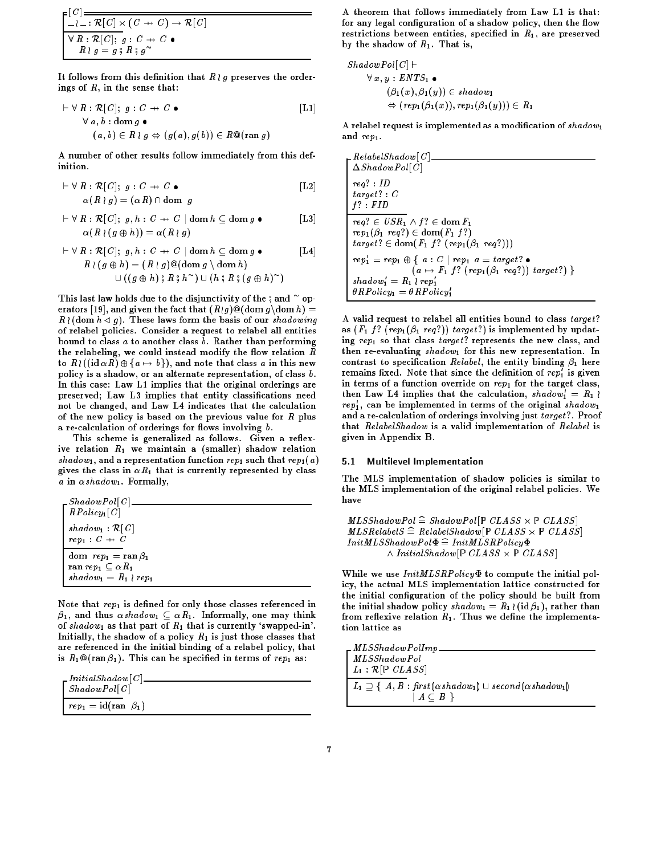$$
\frac{\begin{bmatrix} [C] \\ -l =: \mathcal{R}[C] \times (C \to C) \to \mathcal{R}[C] \\ \forall R: \mathcal{R}[C]; g: C \to C \\ R \nmid g = g \nmid g; g \sim \end{bmatrix}}{R \nmid g = g \nmid g; g \nmid g}
$$

It follows from this definition that  $R \wr g$  preserves the orderings of R, in the sense that:

$$
\vdash \forall R : \mathcal{R}[C]; g : C \to C \bullet \qquad [L1]
$$
  

$$
\forall a, b : \text{dom } g \bullet
$$
  

$$
(a, b) \in R \wr g \Leftrightarrow (g(a), g(b)) \in R @(\text{ran } g)
$$

A number of other results follow immediately from this definition.

$$
\vdash \forall R : \mathcal{R}[C]; g : C \to C \bullet
$$
  
\n
$$
\alpha(R \mid g) = (\alpha R) \cap \text{dom } g
$$
\n[L2]

$$
\vdash \forall R : \mathcal{R}[C]; g, h : C \to C \mid \text{dom } h \subseteq \text{dom } g \bullet \qquad [L3]
$$

$$
\alpha(R \mid (g \oplus h)) = \alpha(R \mid g)
$$

$$
\vdash \forall R : \mathcal{R}[C]; g, h : C \to C \mid \text{dom } h \subseteq \text{dom } g \bullet \qquad [\text{L4}]
$$
  

$$
R \wr (g \oplus h) = (R \wr g) @(\text{dom } g \setminus \text{dom } h)
$$
  

$$
\cup ((g \oplus h); R; h \sim) \cup (h; R; (g \oplus h) \sim)
$$

Inis last law holds due to the disjunctivity of the  $\frac{2}{3}$  and operators [19], and given the fact that  $(R \log 9) @(\text{dom } g \backslash \text{dom } h) =$  $R$  (dom  $h \lhd g$ ). These laws form the basis of our shadowing of relabel policies. Consider a request to relabel all entities bound to class a to another class b. Rather than performing the relabeling, we could instead modify the flow relation  $R$ to  $R$  ((id  $\alpha$  R)  $\oplus$  {a  $\mapsto$  b}), and note that class a in this new policy is a shadow, or an alternate representation, of class b. In this case: Law L1 implies that the original orderings are preserved; Law L3 implies that entity classications need not be changed, and Law L4 indicates that the calculation of the new policy is based on the previous value for  $R$  plus a re-calculation of orderings for flows involving  $b$ .

This scheme is generalized as follows. Given a reflexive relation  $R_1$  we maintain a (smaller) shadow relation shadow<sub>1</sub>, and a representation function rep<sub>1</sub> such that rep<sub>1</sub>(a) gives the class in  $\alpha R_1$  that is currently represented by class a in  $\alpha shadow_1$ . Formally,

| ShadowPol[C]<br>$RPolicy_1[C]$                                                                          |
|---------------------------------------------------------------------------------------------------------|
| $shadow_1 : \mathcal{R}[C]$<br>$rep_1: C \rightarrow C$                                                 |
| dom $rep_1 = \operatorname{ran} \beta_1$<br>ran $rep_1\subset \alpha R_1$<br>$shadow_1 = R_1 \wr rep_1$ |

Note that  $rep_1$  is defined for only those classes referenced in  $\beta_1$ , and thus  $\alpha shadow_1 \subseteq \alpha R_1$ . Informally, one may think of shadow<sub>1</sub> as that part of  $R_1$  that is currently 'swapped-in'. Initially, the shadow of a policy  $R_1$  is just those classes that are referenced in the initial binding of a relabel policy, that is  $R_1 \mathbb{Q}(\text{ran }\beta_1)$ . This can be specified in terms of re $p_1$  as:

| $\_$ <i>InitialShadow</i> [C] |                                                   |
|-------------------------------|---------------------------------------------------|
|                               | $\left  \quad \textit{ShadowPol}\right[ C\right $ |
|                               |                                                   |
|                               | $\mid rep_1=\text{id}(\text{ran }\beta_1)$        |

A theorem that follows immediately from Law L1 is that: for any legal configuration of a shadow policy, then the flow restrictions between entities, specified in  $R_1$ , are preserved by the shadow of  $R_1$ . That is,

$$
ShadowPol[C] \vdash
$$
  
\n
$$
\forall x, y : ENTS_1 \bullet
$$
  
\n
$$
(\beta_1(x), \beta_1(y)) \in shadow_1
$$
  
\n
$$
\Leftrightarrow (rep_1(\beta_1(x)), rep_1(\beta_1(y))) \in R_1
$$

A relabel request is implemented as a modification of  $shadow_1$ and rep<sub>1</sub>.

| $\_RelabelShadow[\,C\,]$                                                                                                 |
|--------------------------------------------------------------------------------------------------------------------------|
| $\Delta ShadowPol[C]$                                                                                                    |
| $req$ : ID                                                                                                               |
| $target$ : $C$                                                                                                           |
| $f$ ? $FID$                                                                                                              |
| $req? \in \text{USR}_1 \wedge f? \in \text{dom } F_1$                                                                    |
| $rep_1(\beta_1 \, \, reg?) \in \mathrm{dom}(F_1 \, f?)$<br>$target? \in \text{dom}(F_1 f? (rep_1(\beta_1 \text{ reg})))$ |
| $rep'_1 = rep_1 \oplus \{ a : C \mid rep_1 \ a = target? \bullet$                                                        |
| $(a \mapsto F_1 \; f? \; (rep_1(\beta_1 \; req?)) \; target?)$                                                           |
| $shadow'_1 = R_1 \wr rep'_1$<br>$\theta RPolicy_1 = \theta RPolicy'_1$                                                   |
|                                                                                                                          |

A valid request to relabel all entities bound to class target? as  $(F_1 f? (rep_1(\beta_1 \text{ reg})))$  target?) is implemented by updating  $rep_1$  so that class target? represents the new class, and then re-evaluating  $shadow_1$  for this new representation. In contrast to specification Relabel, the entity binding  $\beta_1$  here remains nxed. Note that since the definition of  $rep_1$  is given in terms of a function override on  $rep_1$  for the target class, then Law L4 implies that the calculation,  $\textit{shadow}_1 = \textit{K}_1$  (  $rep_1$ , can be implemented in terms of the original  $\it{shadow}_1$ and a re-calculation of orderings involving just target?. Proof that RelabelShadow is a valid implementation of Relabel is given in Appendix B.

# 5.1 Multilevel Implementation

The MLS implementation of shadow policies is similar to the MLS implementation of the original relabel policies. We have

MLSShadowPol =b ShadowPol [CLASS - CLASS ] MLSRelabelS =b RelabelShadow[CLASS - CLASS ]  $InitMLSShadowPol\Phi \cong InitMLSRPolicy\Phi$ ^ InitialShadow[CLASS - CLASS ]

While we use  $InitMLSRPolicy \Phi$  to compute the initial policy, the actual MLS implementation lattice constructed for the initial conguration of the policy should be built from the initial shadow policy  $shadow_1 = R_1 \setminus (id\beta_1)$ , rather than from reflexive relation  $R_1$ . Thus we define the implementation lattice as

| $\_MLSS hadowPolImp$                                                                                                    |
|-------------------------------------------------------------------------------------------------------------------------|
| MLSShadowPol                                                                                                            |
| $L_1 : \mathcal{R}[\mathbb{P} CLASS]$                                                                                   |
| $\mid L_1 \supseteq \{ A, B : \text{first}(\alpha \, \text{shadow}_1) \cup \text{second}(\alpha \, \text{shadow}_1)\}\$ |
| $\mid A \subset B$                                                                                                      |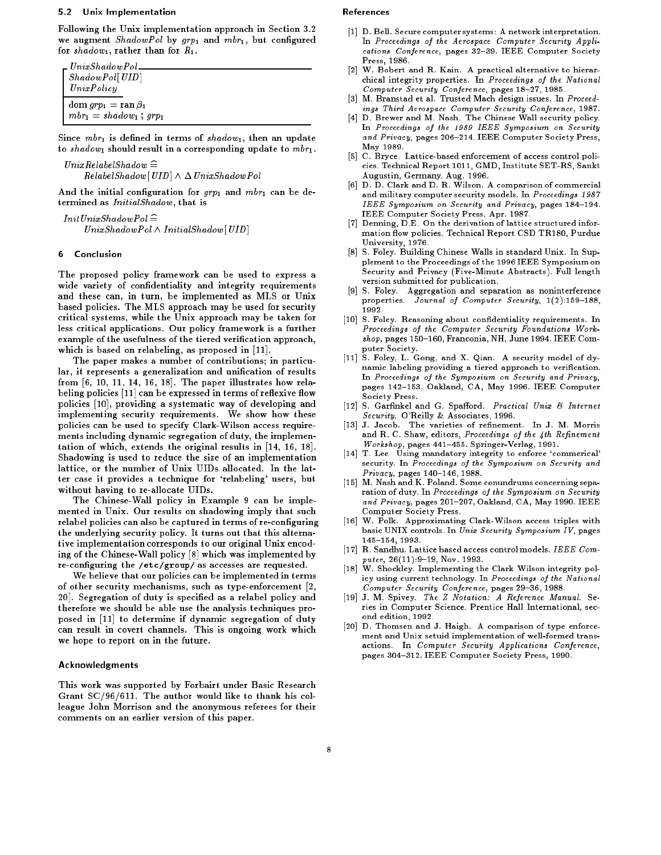# 5.2 Unix Implementation

Following the Unix implementation approach in Section 3.2 we augment ShadowPol by  $grp_1$  and  $mbr_1$ , but configured for shadow<sub>1</sub>, rather than for  $R_1$ .

| $L$ Unix $ShadowPol$                        |  |
|---------------------------------------------|--|
| ShadowPol[UID]                              |  |
| UnixPolicy                                  |  |
| dom $_{}qrp_1 = \operatorname{ran} \beta_1$ |  |
| $mbr_1 = shadow_1$ ; $qrp_1$                |  |

Since  $mbr_1$  is defined in terms of  $shadow_1$ , then an update to shadow<sub>1</sub> should result in a corresponding update to  $mbr_1$ .

 $\label{thm:univ} Unix Relabel Shadow \,\,\widehat{=}\,\,$  $RelabelShadow[UID] \wedge \Delta\text{ UnixShadowPol}$ 

And the initial configuration for  $g r p_1$  and  $m b r_1$  can be determined as InitialShadow, that is

 $InitUnixShadowPol \hat{=}$  $UnixShadowPol \wedge InitialShadow[UD]$ 

#### 6 **Conclusion**

The proposed policy framework can be used to express a wide variety of condentiality and integrity requirements and these can, in turn, be implemented as MLS or Unix based policies. The MLS approach may be used for security critical systems, while the Unix approach may be taken for less critical applications. Our policy framework is a further example of the usefulness of the tiered verification approach, which is based on relabeling, as proposed in [11].

The paper makes a number of contributions; in particular, it represents a generalization and unication of results from  $[6, 10, 11, 14, 16, 18]$ . The paper illustrates how relabeling policies [11] can be expressed in terms of reflexive flow policies [10], providing a systematic way of developing and implementing security requirements. We show how these policies can be used to specify Clark-Wilson access requirements including dynamic segregation of duty, the implementation of which, extends the original results in [14, 16, 18]. Shadowing is used to reduce the size of an implementation lattice, or the number of Unix UIDs allocated. In the latter case it provides a technique for `relabeling' users, but without having to re-allocate UIDs.

The Chinese-Wall policy in Example 9 can be implemented in Unix. Our results on shadowing imply that such relabel policies can also be captured in terms of re-conguring the underlying security policy. It turns out that this alternative implementation corresponds to our original Unix encoding of the Chinese-Wall policy [8] which was implemented by re-configuring the /etc/group/ as accesses are requested.

We believe that our policies can be implemented in terms of other security mechanisms, such as type-enforcement [2, 20]. Segregation of duty is specied as a relabel policy and therefore we should be able use the analysis techniques proposed in [11] to determine if dynamic segregation of duty can result in covert channels. This is ongoing work which we hope to report on in the future.

### Acknowledgments

This work was supported by Forbairt under Basic Research Grant SC/96/611. The author would like to thank his colleague John Morrison and the anonymous referees for their comments on an earlier version of this paper.

#### References

- [1] D. Bell. Secure computer systems: A network interpretation. In Proceedings of the Aerospace Computer Security Applications Conference, pages 32-39. IEEE Computer Society Press, 1986. Press, 1986.
- [2] W. Bobert and R. Kain. A practical alternative to hierarchical integrity properties. In Proceedings of the National Computer Security Conference, pages 18-27, 1985.
- $\lceil 3 \rceil$ M. Branstad et al. Trusted Mach design issues. In Proceedings Third Aerospace Computer Security Conference, 1987.
- [4] D. Brewer and M. Nash. The Chinese Wall security policy. In Proceedings of the 1989 IEEE Symposium on Security and Privacy, pages 206-214. IEEE Computer Society Press, May 1989.
- [5] C. Bryce. Lattice-based enforcement of access control policies. Technical Report 1011, GMD, Institute SET-RS, Sankt Augustin, Germany, Aug. 1996.
- [6] D. D. Clark and D. R. Wilson. A comparison of commercial and military computer security models. In Proceedings 1987 IEEE Symposium on Security and Privacy, pages 184-194. IEEE Computer Society Press, Apr. 1987.
- [7] Denning, D.E. On the derivation of lattice structured information flow policies. Technical Report CSD TR180, Purdue University, 1976. University, 1976. In the contract of the contract of the contract of the contract of the contract of the contract of the contract of the contract of the contract of the contract of the contract of the contract of the contr
- [8] S. Foley. Building Chinese Walls in standard Unix. In Supplement to the Proceedings of the 1996 IEEE Symposium on Security and Privacy (Five-Minute Abstracts). Full length version submitted for publication.
- [9] S. Foley. Aggregation and separation as noninterference properties. Journal of Computer Security,  $1(2):159-188$ ,
- [10] S. Foley. Reasoning about confidentiality requirements. In Proceedings of the Computer Security Foundations Work $shop$ , pages 150-160, Franconia, NH, June 1994. IEEE Computer Society.
- [11] S. Foley, L. Gong, and X. Qian. A security model of dynamic labeling providing a tiered approach to verification. In Proceedings of the Symposium on Security and Privacy, pages 142-153, Oakland, CA, May 1996. IEEE Computer Society Press.
- $[12]$  S. Garfinkel and G. Spafford. Practical Unix & Internet Security. O'Reilly & Associates, 1996.
- [13] J. Jacob. The varieties of refinement. In J. M. Morris and R. C. Shaw, editors, Proceedings of the  $4th$  Refinement  $Workshop$ , pages 441-455. Springer-Verlag, 1991.
- [14] T. Lee. Using mandatory integrity to enforce 'commerical' security. In Proceedings of the Symposium on Security and  $Privacy$ , pages  $140-146$ , 1988.
- [15] M. Nash and K. Poland. Some conundrums concerning separation of duty. In Proceedings of the Symposium on Security and Privacy, pages  $201{-}207$ , Oakland, CA, May 1990. IEEE Computer Society Press.
- [16] W. Polk. Approximating Clark-Wilson access triples with basic UNIX controls. In Unix Security Symposium IV, pages 145-154, 1993.
- [17] R. Sandhu. Lattice based access control models. IEEE Computer,  $26(11):9-19$ , Nov. 1993.
- [18] W. Shockley. Implementing the Clark Wilson integrity policy using current technology. In Proceedings of the National Computer Security Conference, pages 29-36, 1988.
- [19] J. M. Spivey. The Z Notation: A Reference Manual. Series in Computer Science. Prentice Hall International, second edition, 1992.
- [20] D. Thomsen and J. Haigh. A comparison of type enforcement and Unix setuid implementation of well-formed transactions. In Computer Security Applications Conference, pages 304-312. IEEE Computer Society Press, 1990.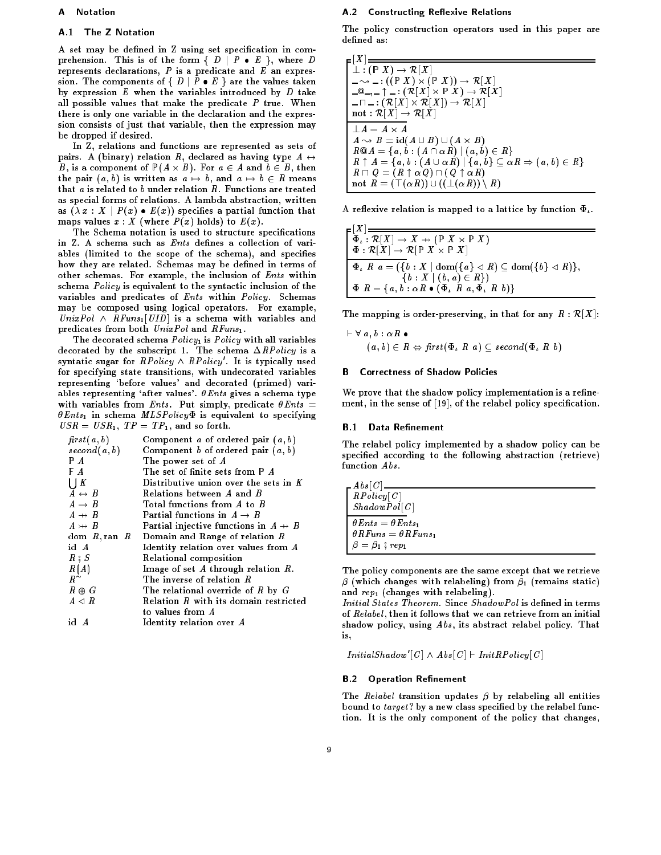#### A **Notation**

### A.1 The Z Notation

A set may be defined in Z using set specification in comprehension. This is of the form  $\{ D \mid P \bullet E \}$ , where D represents declarations,  $P$  is a predicate and  $E$  an expression. The components of  $\{ D \mid P \bullet E \}$  are the values taken by expression  $E$  when the variables introduced by  $D$  take all possible values that make the predicate  $P$  true. When there is only one variable in the declaration and the expression consists of just that variable, then the expression may be dropped if desired.

In Z, relations and functions are represented as sets of pairs. A (binary) relation R, declared as having type  $A \leftrightarrow$ B, is a component of (A - B). For a <sup>2</sup> A and b <sup>2</sup> B, then the pair  $(a, b)$  is written as  $a \mapsto b$ , and  $a \mapsto b \in R$  means that  $a$  is related to  $b$  under relation  $R$ . Functions are treated as special forms of relations. A lambda abstraction, written as  $(\lambda x : X | P(x) \bullet E(x))$  specifies a partial function that maps values  $x : X$  (where  $P(x)$  holds) to  $E(x)$ .

The Schema notation is used to structure specications in Z. A schema such as *Ents* defines a collection of variables (limited to the scope of the schema), and specifies how they are related. Schemas may be defined in terms of other schemas. For example, the inclusion of *Ents* within schema Policy is equivalent to the syntactic inclusion of the variables and predicates of Ents within Policy. Schemas may be composed using logical operators. For example,  $UnixPol \wedge RFuns_1[UID]$  is a schema with variables and predicates from both  $UnixPol$  and  $RFuns_1$ .

The decorated schema  $Policy_1$  is  $Policy$  with all variables decorated by the subscript 1. The schema  $\Delta RPolicy$  is a syntatic sugar for  $\textit{RPolicy} \wedge \textit{RPolicy}$  . It is typically used for specifying state transitions, with undecorated variables representing `before values' and decorated (primed) variables representing 'after values'.  $\theta$ Ents gives a schema type with variables from *Ents*. Put simply, predicate  $\theta$ *Ents* =  $\theta$ *Ents*<sub>1</sub> in schema *MLSPolicy* $\Phi$  is equivalent to specifying  $USR = USR_1$ ,  $TP = TP_1$ , and so forth.

| first(a, b)            | Component a of ordered pair $(a, b)$             |
|------------------------|--------------------------------------------------|
| second(a, b)           | Component b of ordered pair $(a, b)$             |
| PА                     | The power set of $A$                             |
| FΑ                     | The set of finite sets from $\mathbb{P}$ A       |
| $\bigcup K$            | Distributive union over the sets in $K$          |
| $A \leftrightarrow B$  | Relations between $A$ and $B$                    |
| $A \rightarrow B$      | Total functions from $A$ to $B$                  |
| $A \rightarrow B$      | Partial functions in $A\to B$                    |
| $A \rightarrow B$      | Partial injective functions in $A \rightarrow B$ |
| dom R, ran R           | Domain and Range of relation $R$                 |
| id A                   | Identity relation over values from A             |
| $R \; \texttt{S} \; S$ | Relational composition                           |
| R(A)                   | Image of set $A$ through relation $R$ .          |
| $R^{\sim}$             | The inverse of relation $R$                      |
| $R \oplus G$           | The relational override of $R$ by $G$            |
| $A \lhd R$             | Relation $R$ with its domain restricted          |
|                        | to values from $\boldsymbol{A}$                  |
| id A                   | Identity relation over A                         |

# A.2 Constructing Reflexive Relations

The policy construction operators used in this paper are defined as:

| $_{\blacksquare}$ $\mid$ $X$ $\mid$ $\equiv$                                                            |
|---------------------------------------------------------------------------------------------------------|
| $\bot: (\mathbb{P} X) \to \mathcal{R}[X]$                                                               |
| $-\rightarrow$ $-$ : ((P X) $\times$ (P X)) $\rightarrow \mathcal{R}[X]$                                |
| $\Box$ (0,  ) = : ( $\mathcal{R}[X] \times \mathbb{P}[X] \rightarrow \mathcal{R}[X]$                    |
| $-\square$ : $(\mathcal{R}[X] \times \mathcal{R}[X]) \rightarrow \mathcal{R}[X]$                        |
| not: $\mathcal{R}[X] \to \mathcal{R}[X]$                                                                |
| $\perp A = A \times A$                                                                                  |
| $A \rightsquigarrow B = id(A \cup B) \cup (A \times B)$                                                 |
| $R@A = \{a, b : (A \cap \alpha R)   (a, b) \in R\}$                                                     |
| $R \uparrow A = \{a, b : (A \cup \alpha R) \mid \{a, b\} \subseteq \alpha R \Rightarrow (a, b) \in R\}$ |
| $R \sqcap Q = (R \uparrow \alpha Q) \cap (Q \uparrow \alpha R)$                                         |
| not $R = (\top(\alpha R)) \cup ((\bot(\alpha R)) \setminus R)$                                          |

A reflexive relation is mapped to a lattice by function  $\Phi_{\iota}$ .

| $\mathsf{r}  A $ $=$                                                                                              |
|-------------------------------------------------------------------------------------------------------------------|
| $\Phi_{\iota}: \mathcal{R}[X] \to X \to (\mathbb{P} X \times \mathbb{P} X)$                                       |
| $\Phi: \mathcal{R}[X] \to \mathcal{R}[\mathbb{P} X \times \mathbb{P} X]$                                          |
| $\Phi$ , $R$ $a = (\{b : X \mid \text{dom}(\{a\} \triangleleft R) \subseteq \text{dom}(\{b\} \triangleleft R)\},$ |
| $\{b: X   (b, a) \in R\})$                                                                                        |
| $\Phi R = \{a, b : \alpha R \bullet (\Phi_L R a, \Phi_L R b)\}\$                                                  |

The mapping is order-preserving, in that for any  $R : \mathcal{R}[X]$ :

$$
\vdash \forall \ a, b : \alpha R \bullet \\
 (a, b) \in R \Leftrightarrow \text{first}(\Phi, R \ a) \subseteq \text{second}(\Phi, R \ b)
$$

#### **B Correctness of Shadow Policies**

We prove that the shadow policy implementation is a refinement, in the sense of [19], of the relabel policy specification.

# **B.1 Data Refinement**

 $1.72$ 

The relabel policy implemented by a shadow policy can be specified according to the following abstraction (retrieve)

| A b s C                                    |  |  |
|--------------------------------------------|--|--|
| RPolicy[C]                                 |  |  |
| ShadowPol[C]                               |  |  |
| $\theta$ Ents = $\theta$ Ents <sub>1</sub> |  |  |
| $\theta RF$ uns $= \theta RF$ uns          |  |  |
| $\beta = \beta_1$ ; rep <sub>1</sub>       |  |  |

The policy components are the same except that we retrieve  $\beta$  (which changes with relabeling) from  $\beta_1$  (remains static) and  $rep_1$  (changes with relabeling).

Initial States Theorem. Since ShadowPol is defined in terms of *Relabel*, then it follows that we can retrieve from an initial shadow policy, using Abs, its abstract relabel policy. That is. is,

 $InitialShadow \mid U \mid \wedge Abs \mid U \mid \vdash InitHPoly \mid U \mid$ 

# **B.2** Operation Refinement

The *Relabel* transition updates  $\beta$  by relabeling all entities bound to *target*? by a new class specified by the relabel function. It is the only component of the policy that changes,